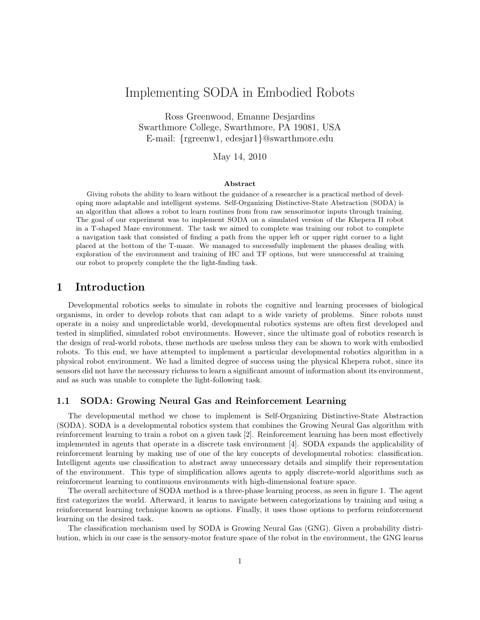# Implementing SODA in Embodied Robots

Ross Greenwood, Emanne Desjardins Swarthmore College, Swarthmore, PA 19081, USA E-mail: {rgreenw1, edesjar1}@swarthmore.edu

May 14, 2010

#### Abstract

Giving robots the ability to learn without the guidance of a researcher is a practical method of developing more adaptable and intelligent systems. Self-Organizing Distinctive-State Abstraction (SODA) is an algorithm that allows a robot to learn routines from from raw sensorimotor inputs through training. The goal of our experiment was to implement SODA on a simulated version of the Khepera II robot in a T-shaped Maze environment. The task we aimed to complete was training our robot to complete a navigation task that consisted of finding a path from the upper left or upper right corner to a light placed at the bottom of the T-maze. We managed to successfully implement the phases dealing with exploration of the environment and training of HC and TF options, but were unsuccessful at training our robot to properly complete the the light-finding task.

### 1 Introduction

Developmental robotics seeks to simulate in robots the cognitive and learning processes of biological organisms, in order to develop robots that can adapt to a wide variety of problems. Since robots must operate in a noisy and unpredictable world, developmental robotics systems are often first developed and tested in simplified, simulated robot environments. However, since the ultimate goal of robotics research is the design of real-world robots, these methods are useless unless they can be shown to work with embodied robots. To this end, we have attempted to implement a particular developmental robotics algorithm in a physical robot environment. We had a limited degree of success using the physical Khepera robot, since its sensors did not have the necessary richness to learn a significant amount of information about its environment, and as such was unable to complete the light-following task.

#### 1.1 SODA: Growing Neural Gas and Reinforcement Learning

The developmental method we chose to implement is Self-Organizing Distinctive-State Abstraction (SODA). SODA is a developmental robotics system that combines the Growing Neural Gas algorithm with reinforcement learning to train a robot on a given task [2]. Reinforcement learning has been most effectively implemented in agents that operate in a discrete task environment [4]. SODA expands the applicability of reinforcement learning by making use of one of the key concepts of developmental robotics: classification. Intelligent agents use classification to abstract away unnecessary details and simplify their representation of the environment. This type of simplification allows agents to apply discrete-world algorithms such as reinforcement learning to continuous environments with high-dimensional feature space.

The overall architecture of SODA method is a three-phase learning process, as seen in figure 1. The agent first categorizes the world. Afterward, it learns to navigate between categorizations by training and using a reinforcement learning technique known as options. Finally, it uses those options to perform reinforcement learning on the desired task.

The classification mechanism used by SODA is Growing Neural Gas (GNG). Given a probability distribution, which in our case is the sensory-motor feature space of the robot in the environment, the GNG learns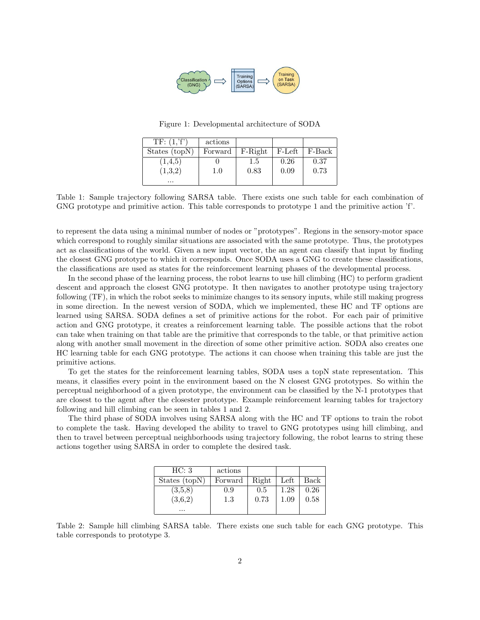

Figure 1: Developmental architecture of SODA

| TF: (1, 'f')  | actions |         |        |        |
|---------------|---------|---------|--------|--------|
| States (topN) | Forward | F-Right | F-Left | F-Back |
| (1,4,5)       |         | 1.5     | 0.26   | 0.37   |
| (1,3,2)       | $1.0\,$ | 0.83    | 0.09   | 0.73   |
| $\cdots$      |         |         |        |        |

Table 1: Sample trajectory following SARSA table. There exists one such table for each combination of GNG prototype and primitive action. This table corresponds to prototype 1 and the primitive action 'f'.

to represent the data using a minimal number of nodes or "prototypes". Regions in the sensory-motor space which correspond to roughly similar situations are associated with the same prototype. Thus, the prototypes act as classifications of the world. Given a new input vector, the an agent can classify that input by finding the closest GNG prototype to which it corresponds. Once SODA uses a GNG to create these classifications, the classifications are used as states for the reinforcement learning phases of the developmental process.

In the second phase of the learning process, the robot learns to use hill climbing (HC) to perform gradient descent and approach the closest GNG prototype. It then navigates to another prototype using trajectory following (TF), in which the robot seeks to minimize changes to its sensory inputs, while still making progress in some direction. In the newest version of SODA, which we implemented, these HC and TF options are learned using SARSA. SODA defines a set of primitive actions for the robot. For each pair of primitive action and GNG prototype, it creates a reinforcement learning table. The possible actions that the robot can take when training on that table are the primitive that corresponds to the table, or that primitive action along with another small movement in the direction of some other primitive action. SODA also creates one HC learning table for each GNG prototype. The actions it can choose when training this table are just the primitive actions.

To get the states for the reinforcement learning tables, SODA uses a topN state representation. This means, it classifies every point in the environment based on the N closest GNG prototypes. So within the perceptual neighborhood of a given prototype, the environment can be classified by the N-1 prototypes that are closest to the agent after the closester prototype. Example reinforcement learning tables for trajectory following and hill climbing can be seen in tables 1 and 2.

The third phase of SODA involves using SARSA along with the HC and TF options to train the robot to complete the task. Having developed the ability to travel to GNG prototypes using hill climbing, and then to travel between perceptual neighborhoods using trajectory following, the robot learns to string these actions together using SARSA in order to complete the desired task.

| HC: 3         | actions |       |          |      |
|---------------|---------|-------|----------|------|
| States (topN) | Forward | Right | Left     | Back |
| (3,5,8)       | 0.9     | 0.5   | 1.28     | 0.26 |
| (3,6,2)       | 1.3     | 0.73  | $1.09\,$ | 0.58 |
| $\cdots$      |         |       |          |      |

Table 2: Sample hill climbing SARSA table. There exists one such table for each GNG prototype. This table corresponds to prototype 3.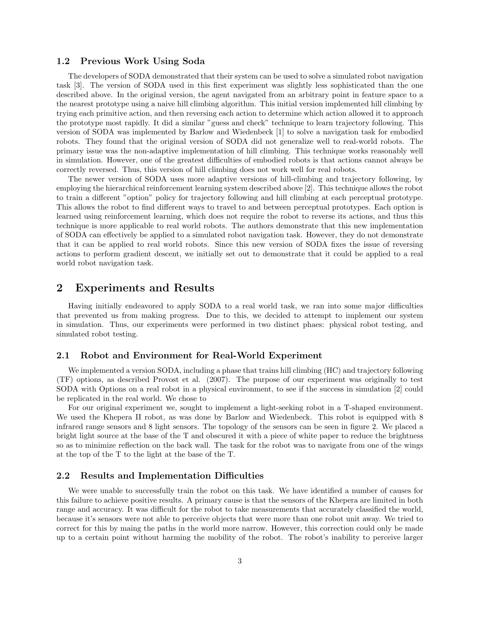#### 1.2 Previous Work Using Soda

The developers of SODA demonstrated that their system can be used to solve a simulated robot navigation task [3]. The version of SODA used in this first experiment was slightly less sophisticated than the one described above. In the original version, the agent navigated from an arbitrary point in feature space to a the nearest prototype using a naive hill climbing algorithm. This initial version implemented hill climbing by trying each primitive action, and then reversing each action to determine which action allowed it to approach the prototype most rapidly. It did a similar "guess and check" technique to learn trajectory following. This version of SODA was implemented by Barlow and Wiedenbeck [1] to solve a navigation task for embodied robots. They found that the original version of SODA did not generalize well to real-world robots. The primary issue was the non-adaptive implementation of hill climbing. This technique works reasonably well in simulation. However, one of the greatest difficulties of embodied robots is that actions cannot always be correctly reversed. Thus, this version of hill climbing does not work well for real robots.

The newer version of SODA uses more adaptive versions of hill-climbing and trajectory following, by employing the hierarchical reinforcement learning system described above [2]. This technique allows the robot to train a different "option" policy for trajectory following and hill climbing at each perceptual prototype. This allows the robot to find different ways to travel to and between perceptual prototypes. Each option is learned using reinforcement learning, which does not require the robot to reverse its actions, and thus this technique is more applicable to real world robots. The authors demonstrate that this new implementation of SODA can effectively be applied to a simulated robot navigation task. However, they do not demonstrate that it can be applied to real world robots. Since this new version of SODA fixes the issue of reversing actions to perform gradient descent, we initially set out to demonstrate that it could be applied to a real world robot navigation task.

## 2 Experiments and Results

Having initially endeavored to apply SODA to a real world task, we ran into some major difficulties that prevented us from making progress. Due to this, we decided to attempt to implement our system in simulation. Thus, our experiments were performed in two distinct phaes: physical robot testing, and simulated robot testing.

#### 2.1 Robot and Environment for Real-World Experiment

We implemented a version SODA, including a phase that trains hill climbing (HC) and trajectory following (TF) options, as described Provost et al. (2007). The purpose of our experiment was originally to test SODA with Options on a real robot in a physical environment, to see if the success in simulation [2] could be replicated in the real world. We chose to

For our original experiment we, sought to implement a light-seeking robot in a T-shaped environment. We used the Khepera II robot, as was done by Barlow and Wiedenbeck. This robot is equipped with 8 infrared range sensors and 8 light sensors. The topology of the sensors can be seen in figure 2. We placed a bright light source at the base of the T and obscured it with a piece of white paper to reduce the brightness so as to minimize reflection on the back wall. The task for the robot was to navigate from one of the wings at the top of the T to the light at the base of the T.

#### 2.2 Results and Implementation Difficulties

We were unable to successfully train the robot on this task. We have identified a number of causes for this failure to achieve positive results. A primary cause is that the sensors of the Khepera are limited in both range and accuracy. It was difficult for the robot to take measurements that accurately classified the world, because it's sensors were not able to perceive objects that were more than one robot unit away. We tried to correct for this by maing the paths in the world more narrow. However, this correction could only be made up to a certain point without harming the mobility of the robot. The robot's inability to perceive larger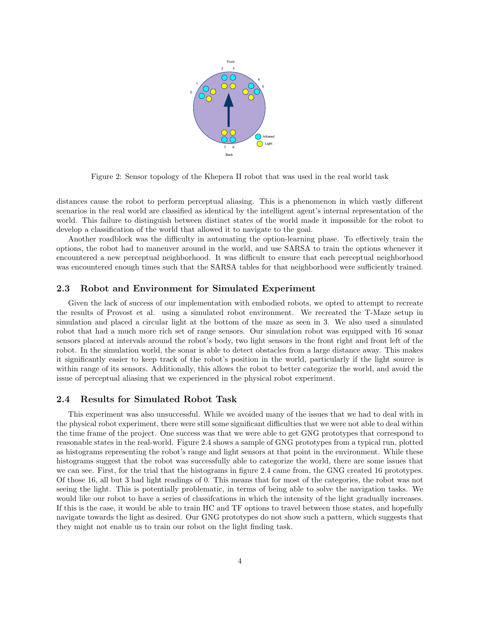

Figure 2: Sensor topology of the Khepera II robot that was used in the real world task

distances cause the robot to perform perceptual aliasing. This is a phenomenon in which vastly different scenarios in the real world are classified as identical by the intelligent agent's internal representation of the world. This failure to distinguish between distinct states of the world made it impossible for the robot to develop a classification of the world that allowed it to navigate to the goal.

Another roadblock was the difficulty in automating the option-learning phase. To effectively train the options, the robot had to maneuver around in the world, and use SARSA to train the options whenever it encountered a new perceptual neighborhood. It was difficult to ensure that each perceptual neighborhood was encountered enough times such that the SARSA tables for that neighborhood were sufficiently trained.

#### 2.3 Robot and Environment for Simulated Experiment

Given the lack of success of our implementation with embodied robots, we opted to attempt to recreate the results of Provost et al. using a simulated robot environment. We recreated the T-Maze setup in simulation and placed a circular light at the bottom of the maze as seen in 3. We also used a simulated robot that had a much more rich set of range sensors. Our simulation robot was equipped with 16 sonar sensors placed at intervals around the robot's body, two light sensors in the front right and front left of the robot. In the simulation world, the sonar is able to detect obstacles from a large distance away. This makes it significantly easier to keep track of the robot's position in the world, particularly if the light source is within range of its sensors. Additionally, this allows the robot to better categorize the world, and avoid the issue of perceptual aliasing that we experienced in the physical robot experiment.

#### 2.4 Results for Simulated Robot Task

This experiment was also unsuccessful. While we avoided many of the issues that we had to deal with in the physical robot experiment, there were still some significant difficulties that we were not able to deal within the time frame of the project. One success was that we were able to get GNG prototypes that correspond to reasonable states in the real-world. Figure 2.4 shows a sample of GNG prototypes from a typical run, plotted as histograms representing the robot's range and light sensors at that point in the environment. While these histograms suggest that the robot was successfully able to categorize the world, there are some issues that we can see. First, for the trial that the histograms in figure 2.4 came from, the GNG created 16 prototypes. Of those 16, all but 3 had light readings of 0. This means that for most of the categories, the robot was not seeing the light. This is potentially problematic, in terms of being able to solve the navigation tasks. We would like our robot to have a series of classifcations in which the intensity of the light gradually increases. If this is the case, it would be able to train HC and TF options to travel between those states, and hopefully navigate towards the light as desired. Our GNG prototypes do not show such a pattern, which suggests that they might not enable us to train our robot on the light finding task.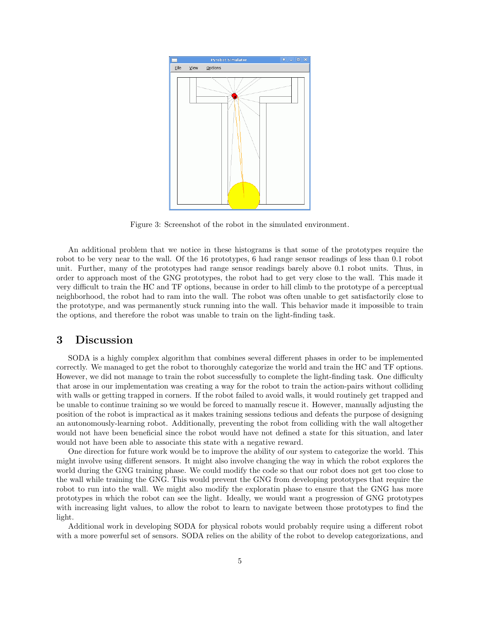

Figure 3: Screenshot of the robot in the simulated environment.

An additional problem that we notice in these histograms is that some of the prototypes require the robot to be very near to the wall. Of the 16 prototypes, 6 had range sensor readings of less than 0.1 robot unit. Further, many of the prototypes had range sensor readings barely above 0.1 robot units. Thus, in order to approach most of the GNG prototypes, the robot had to get very close to the wall. This made it very difficult to train the HC and TF options, because in order to hill climb to the prototype of a perceptual neighborhood, the robot had to ram into the wall. The robot was often unable to get satisfactorily close to the prototype, and was permanently stuck running into the wall. This behavior made it impossible to train the options, and therefore the robot was unable to train on the light-finding task.

### 3 Discussion

SODA is a highly complex algorithm that combines several different phases in order to be implemented correctly. We managed to get the robot to thoroughly categorize the world and train the HC and TF options. However, we did not manage to train the robot successfully to complete the light-finding task. One difficulty that arose in our implementation was creating a way for the robot to train the action-pairs without colliding with walls or getting trapped in corners. If the robot failed to avoid walls, it would routinely get trapped and be unable to continue training so we would be forced to manually rescue it. However, manually adjusting the position of the robot is impractical as it makes training sessions tedious and defeats the purpose of designing an autonomously-learning robot. Additionally, preventing the robot from colliding with the wall altogether would not have been beneficial since the robot would have not defined a state for this situation, and later would not have been able to associate this state with a negative reward.

One direction for future work would be to improve the ability of our system to categorize the world. This might involve using different sensors. It might also involve changing the way in which the robot explores the world during the GNG training phase. We could modify the code so that our robot does not get too close to the wall while training the GNG. This would prevent the GNG from developing prototypes that require the robot to run into the wall. We might also modify the exploratin phase to ensure that the GNG has more prototypes in which the robot can see the light. Ideally, we would want a progression of GNG prototypes with increasing light values, to allow the robot to learn to navigate between those prototypes to find the light.

Additional work in developing SODA for physical robots would probably require using a different robot with a more powerful set of sensors. SODA relies on the ability of the robot to develop categorizations, and